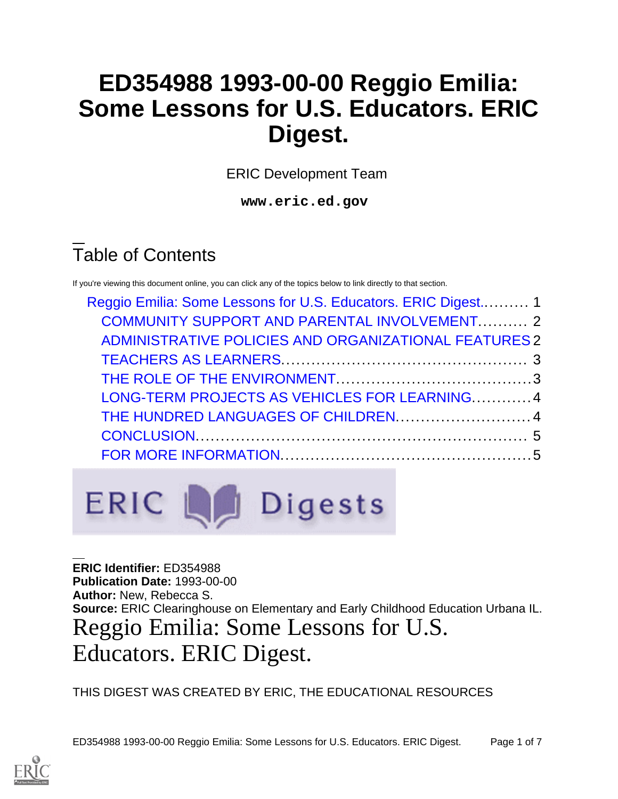## **ED354988 1993-00-00 Reggio Emilia: Some Lessons for U.S. Educators. ERIC Digest.**

ERIC Development Team

**www.eric.ed.gov**

# Table of Contents

If you're viewing this document online, you can click any of the topics below to link directly to that section.

| Reggio Emilia: Some Lessons for U.S. Educators. ERIC Digest 1 |  |
|---------------------------------------------------------------|--|
| <b>COMMUNITY SUPPORT AND PARENTAL INVOLVEMENT 2</b>           |  |
| ADMINISTRATIVE POLICIES AND ORGANIZATIONAL FEATURES 2         |  |
|                                                               |  |
|                                                               |  |
| LONG-TERM PROJECTS AS VEHICLES FOR LEARNING4                  |  |
| THE HUNDRED LANGUAGES OF CHILDREN 4                           |  |
|                                                               |  |
|                                                               |  |



<span id="page-0-0"></span>**ERIC Identifier:** ED354988 **Publication Date:** 1993-00-00 **Author:** New, Rebecca S. **Source:** ERIC Clearinghouse on Elementary and Early Childhood Education Urbana IL. Reggio Emilia: Some Lessons for U.S. Educators. ERIC Digest.

THIS DIGEST WAS CREATED BY ERIC, THE EDUCATIONAL RESOURCES

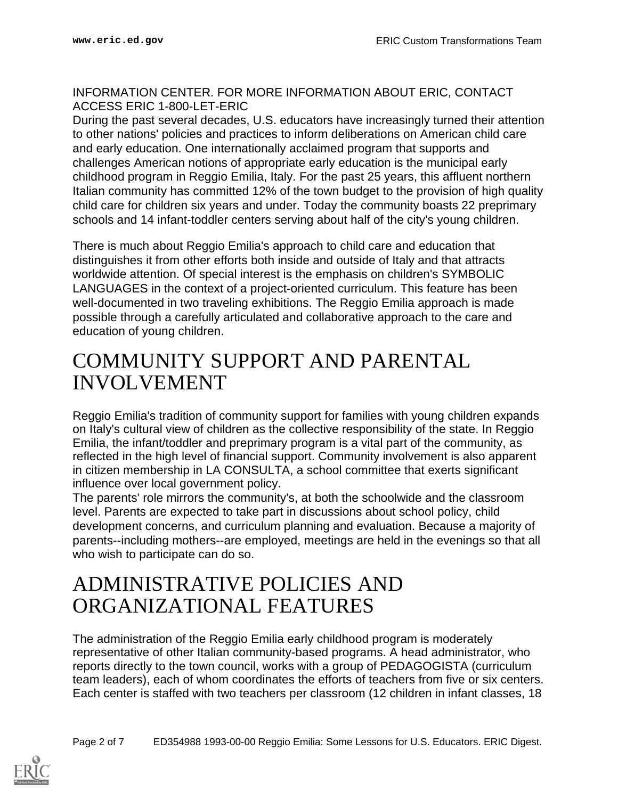#### INFORMATION CENTER. FOR MORE INFORMATION ABOUT ERIC, CONTACT ACCESS ERIC 1-800-LET-ERIC

During the past several decades, U.S. educators have increasingly turned their attention to other nations' policies and practices to inform deliberations on American child care and early education. One internationally acclaimed program that supports and challenges American notions of appropriate early education is the municipal early childhood program in Reggio Emilia, Italy. For the past 25 years, this affluent northern Italian community has committed 12% of the town budget to the provision of high quality child care for children six years and under. Today the community boasts 22 preprimary schools and 14 infant-toddler centers serving about half of the city's young children.

There is much about Reggio Emilia's approach to child care and education that distinguishes it from other efforts both inside and outside of Italy and that attracts worldwide attention. Of special interest is the emphasis on children's SYMBOLIC LANGUAGES in the context of a project-oriented curriculum. This feature has been well-documented in two traveling exhibitions. The Reggio Emilia approach is made possible through a carefully articulated and collaborative approach to the care and education of young children.

#### <span id="page-1-0"></span>COMMUNITY SUPPORT AND PARENTAL INVOLVEMENT

Reggio Emilia's tradition of community support for families with young children expands on Italy's cultural view of children as the collective responsibility of the state. In Reggio Emilia, the infant/toddler and preprimary program is a vital part of the community, as reflected in the high level of financial support. Community involvement is also apparent in citizen membership in LA CONSULTA, a school committee that exerts significant influence over local government policy.

The parents' role mirrors the community's, at both the schoolwide and the classroom level. Parents are expected to take part in discussions about school policy, child development concerns, and curriculum planning and evaluation. Because a majority of parents--including mothers--are employed, meetings are held in the evenings so that all who wish to participate can do so.

#### <span id="page-1-1"></span>ADMINISTRATIVE POLICIES AND ORGANIZATIONAL FEATURES

The administration of the Reggio Emilia early childhood program is moderately representative of other Italian community-based programs. A head administrator, who reports directly to the town council, works with a group of PEDAGOGISTA (curriculum team leaders), each of whom coordinates the efforts of teachers from five or six centers. Each center is staffed with two teachers per classroom (12 children in infant classes, 18

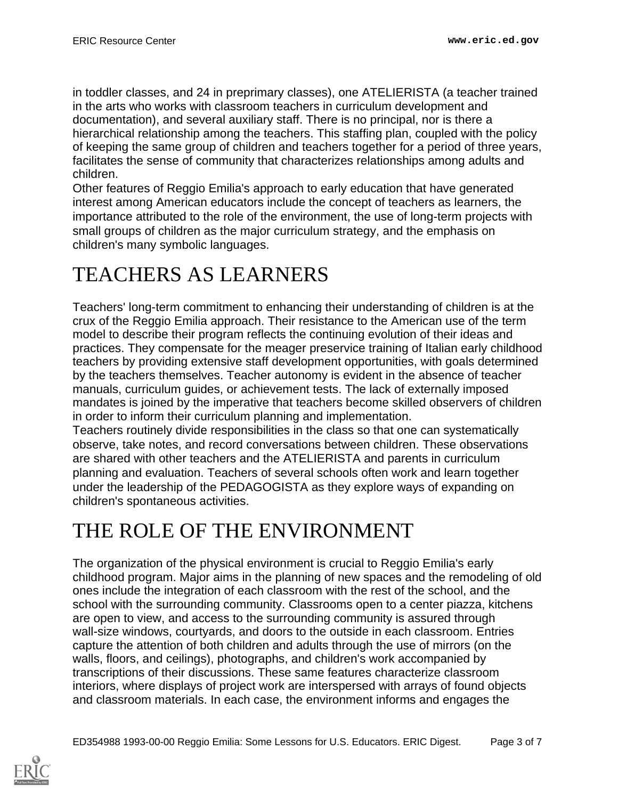in toddler classes, and 24 in preprimary classes), one ATELIERISTA (a teacher trained in the arts who works with classroom teachers in curriculum development and documentation), and several auxiliary staff. There is no principal, nor is there a hierarchical relationship among the teachers. This staffing plan, coupled with the policy of keeping the same group of children and teachers together for a period of three years, facilitates the sense of community that characterizes relationships among adults and children.

Other features of Reggio Emilia's approach to early education that have generated interest among American educators include the concept of teachers as learners, the importance attributed to the role of the environment, the use of long-term projects with small groups of children as the major curriculum strategy, and the emphasis on children's many symbolic languages.

### <span id="page-2-0"></span>TEACHERS AS LEARNERS

Teachers' long-term commitment to enhancing their understanding of children is at the crux of the Reggio Emilia approach. Their resistance to the American use of the term model to describe their program reflects the continuing evolution of their ideas and practices. They compensate for the meager preservice training of Italian early childhood teachers by providing extensive staff development opportunities, with goals determined by the teachers themselves. Teacher autonomy is evident in the absence of teacher manuals, curriculum guides, or achievement tests. The lack of externally imposed mandates is joined by the imperative that teachers become skilled observers of children in order to inform their curriculum planning and implementation.

Teachers routinely divide responsibilities in the class so that one can systematically observe, take notes, and record conversations between children. These observations are shared with other teachers and the ATELIERISTA and parents in curriculum planning and evaluation. Teachers of several schools often work and learn together under the leadership of the PEDAGOGISTA as they explore ways of expanding on children's spontaneous activities.

## <span id="page-2-1"></span>THE ROLE OF THE ENVIRONMENT

The organization of the physical environment is crucial to Reggio Emilia's early childhood program. Major aims in the planning of new spaces and the remodeling of old ones include the integration of each classroom with the rest of the school, and the school with the surrounding community. Classrooms open to a center piazza, kitchens are open to view, and access to the surrounding community is assured through wall-size windows, courtyards, and doors to the outside in each classroom. Entries capture the attention of both children and adults through the use of mirrors (on the walls, floors, and ceilings), photographs, and children's work accompanied by transcriptions of their discussions. These same features characterize classroom interiors, where displays of project work are interspersed with arrays of found objects and classroom materials. In each case, the environment informs and engages the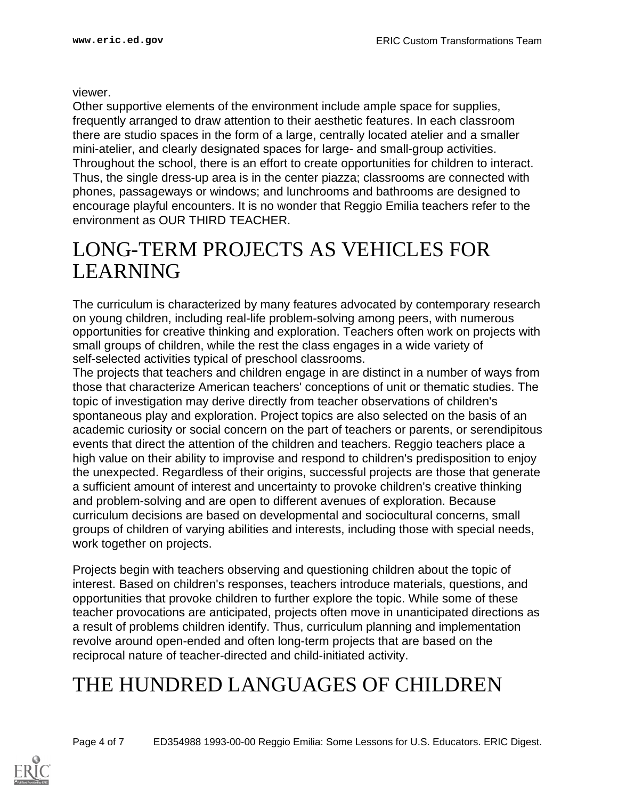viewer.

Other supportive elements of the environment include ample space for supplies, frequently arranged to draw attention to their aesthetic features. In each classroom there are studio spaces in the form of a large, centrally located atelier and a smaller mini-atelier, and clearly designated spaces for large- and small-group activities. Throughout the school, there is an effort to create opportunities for children to interact. Thus, the single dress-up area is in the center piazza; classrooms are connected with phones, passageways or windows; and lunchrooms and bathrooms are designed to encourage playful encounters. It is no wonder that Reggio Emilia teachers refer to the environment as OUR THIRD TEACHER.

#### <span id="page-3-0"></span>LONG-TERM PROJECTS AS VEHICLES FOR LEARNING

The curriculum is characterized by many features advocated by contemporary research on young children, including real-life problem-solving among peers, with numerous opportunities for creative thinking and exploration. Teachers often work on projects with small groups of children, while the rest the class engages in a wide variety of self-selected activities typical of preschool classrooms.

The projects that teachers and children engage in are distinct in a number of ways from those that characterize American teachers' conceptions of unit or thematic studies. The topic of investigation may derive directly from teacher observations of children's spontaneous play and exploration. Project topics are also selected on the basis of an academic curiosity or social concern on the part of teachers or parents, or serendipitous events that direct the attention of the children and teachers. Reggio teachers place a high value on their ability to improvise and respond to children's predisposition to enjoy the unexpected. Regardless of their origins, successful projects are those that generate a sufficient amount of interest and uncertainty to provoke children's creative thinking and problem-solving and are open to different avenues of exploration. Because curriculum decisions are based on developmental and sociocultural concerns, small groups of children of varying abilities and interests, including those with special needs, work together on projects.

Projects begin with teachers observing and questioning children about the topic of interest. Based on children's responses, teachers introduce materials, questions, and opportunities that provoke children to further explore the topic. While some of these teacher provocations are anticipated, projects often move in unanticipated directions as a result of problems children identify. Thus, curriculum planning and implementation revolve around open-ended and often long-term projects that are based on the reciprocal nature of teacher-directed and child-initiated activity.

### <span id="page-3-1"></span>THE HUNDRED LANGUAGES OF CHILDREN

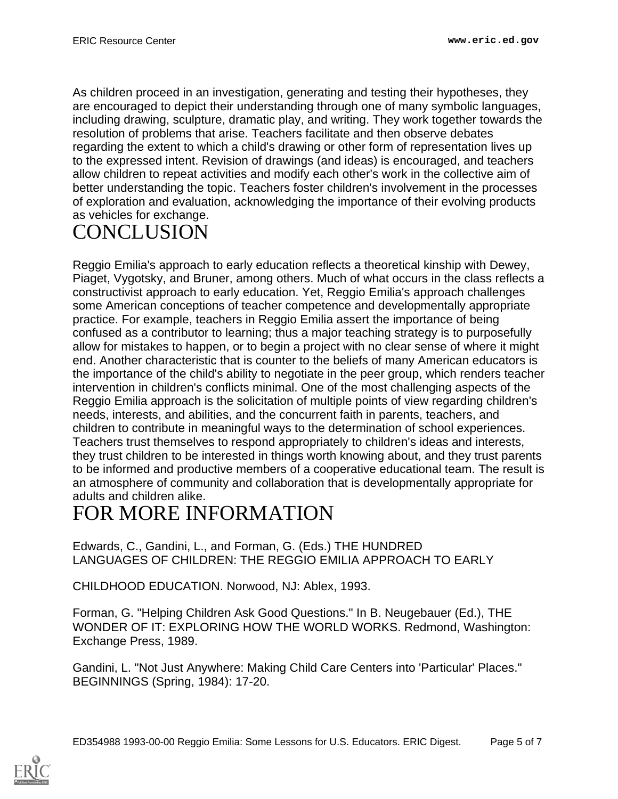As children proceed in an investigation, generating and testing their hypotheses, they are encouraged to depict their understanding through one of many symbolic languages, including drawing, sculpture, dramatic play, and writing. They work together towards the resolution of problems that arise. Teachers facilitate and then observe debates regarding the extent to which a child's drawing or other form of representation lives up to the expressed intent. Revision of drawings (and ideas) is encouraged, and teachers allow children to repeat activities and modify each other's work in the collective aim of better understanding the topic. Teachers foster children's involvement in the processes of exploration and evaluation, acknowledging the importance of their evolving products as vehicles for exchange.

## <span id="page-4-0"></span>**CONCLUSION**

Reggio Emilia's approach to early education reflects a theoretical kinship with Dewey, Piaget, Vygotsky, and Bruner, among others. Much of what occurs in the class reflects a constructivist approach to early education. Yet, Reggio Emilia's approach challenges some American conceptions of teacher competence and developmentally appropriate practice. For example, teachers in Reggio Emilia assert the importance of being confused as a contributor to learning; thus a major teaching strategy is to purposefully allow for mistakes to happen, or to begin a project with no clear sense of where it might end. Another characteristic that is counter to the beliefs of many American educators is the importance of the child's ability to negotiate in the peer group, which renders teacher intervention in children's conflicts minimal. One of the most challenging aspects of the Reggio Emilia approach is the solicitation of multiple points of view regarding children's needs, interests, and abilities, and the concurrent faith in parents, teachers, and children to contribute in meaningful ways to the determination of school experiences. Teachers trust themselves to respond appropriately to children's ideas and interests, they trust children to be interested in things worth knowing about, and they trust parents to be informed and productive members of a cooperative educational team. The result is an atmosphere of community and collaboration that is developmentally appropriate for adults and children alike.

### <span id="page-4-1"></span>FOR MORE INFORMATION

Edwards, C., Gandini, L., and Forman, G. (Eds.) THE HUNDRED LANGUAGES OF CHILDREN: THE REGGIO EMILIA APPROACH TO EARLY

CHILDHOOD EDUCATION. Norwood, NJ: Ablex, 1993.

Forman, G. "Helping Children Ask Good Questions." In B. Neugebauer (Ed.), THE WONDER OF IT: EXPLORING HOW THE WORLD WORKS. Redmond, Washington: Exchange Press, 1989.

Gandini, L. "Not Just Anywhere: Making Child Care Centers into 'Particular' Places." BEGINNINGS (Spring, 1984): 17-20.

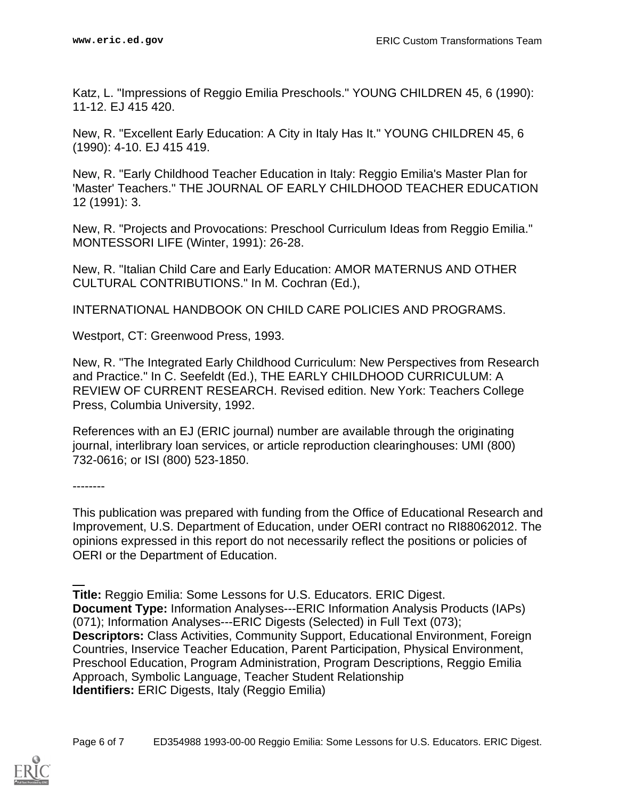Katz, L. "Impressions of Reggio Emilia Preschools." YOUNG CHILDREN 45, 6 (1990): 11-12. EJ 415 420.

New, R. "Excellent Early Education: A City in Italy Has It." YOUNG CHILDREN 45, 6 (1990): 4-10. EJ 415 419.

New, R. "Early Childhood Teacher Education in Italy: Reggio Emilia's Master Plan for 'Master' Teachers." THE JOURNAL OF EARLY CHILDHOOD TEACHER EDUCATION 12 (1991): 3.

New, R. "Projects and Provocations: Preschool Curriculum Ideas from Reggio Emilia." MONTESSORI LIFE (Winter, 1991): 26-28.

New, R. "Italian Child Care and Early Education: AMOR MATERNUS AND OTHER CULTURAL CONTRIBUTIONS." In M. Cochran (Ed.),

INTERNATIONAL HANDBOOK ON CHILD CARE POLICIES AND PROGRAMS.

Westport, CT: Greenwood Press, 1993.

New, R. "The Integrated Early Childhood Curriculum: New Perspectives from Research and Practice." In C. Seefeldt (Ed.), THE EARLY CHILDHOOD CURRICULUM: A REVIEW OF CURRENT RESEARCH. Revised edition. New York: Teachers College Press, Columbia University, 1992.

References with an EJ (ERIC journal) number are available through the originating journal, interlibrary loan services, or article reproduction clearinghouses: UMI (800) 732-0616; or ISI (800) 523-1850.

--------

This publication was prepared with funding from the Office of Educational Research and Improvement, U.S. Department of Education, under OERI contract no RI88062012. The opinions expressed in this report do not necessarily reflect the positions or policies of OERI or the Department of Education.

**Title:** Reggio Emilia: Some Lessons for U.S. Educators. ERIC Digest. **Document Type:** Information Analyses---ERIC Information Analysis Products (IAPs) (071); Information Analyses---ERIC Digests (Selected) in Full Text (073); **Descriptors:** Class Activities, Community Support, Educational Environment, Foreign Countries, Inservice Teacher Education, Parent Participation, Physical Environment, Preschool Education, Program Administration, Program Descriptions, Reggio Emilia Approach, Symbolic Language, Teacher Student Relationship **Identifiers:** ERIC Digests, Italy (Reggio Emilia)